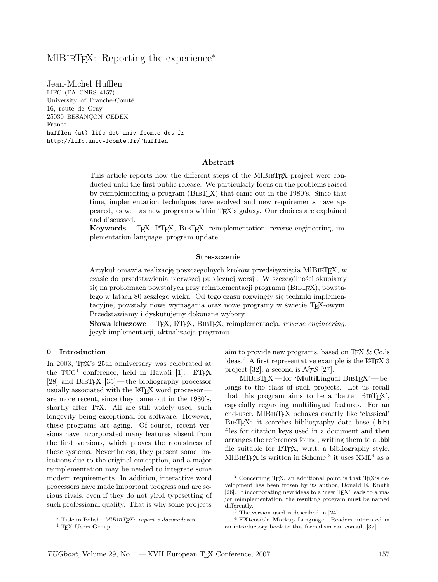# MlBIBT<sub>F</sub>X: Reporting the experience<sup>\*</sup>

Jean-Michel Hufflen LIFC (EA CNRS 4157) University of Franche-Comté 16, route de Gray 25030 BESANÇON CEDEX France hufflen (at) lifc dot univ-fcomte dot fr http://lifc.univ-fcomte.fr/~hufflen

#### Abstract

This article reports how the different steps of the MIBIBTEX project were conducted until the first public release. We particularly focus on the problems raised by reimplementing a program (BibTEX) that came out in the 1980's. Since that time, implementation techniques have evolved and new requirements have appeared, as well as new programs within TEX's galaxy. Our choices are explained and discussed.

Keywords TEX, LATEX, BibTEX, reimplementation, reverse engineering, implementation language, program update.

#### Streszczenie

Artykuł omawia realizację poszczególnych kroków przedsięwzięcia MlBibTEX, w czasie do przedstawienia pierwszej publicznej wersji. W szczególności skupiamy się na problemach powstałych przy reimplementacji programu (BibTEX), powstałego w latach 80 zeszłego wieku. Od tego czasu rozwinęły się techniki implementacyjne, powstały nowe wymagania oraz nowe programy w świecie TEX-owym. Przedstawiamy i dyskutujemy dokonane wybory.

Słowa kluczowe TFX, L<sup>AT</sup>FX, BIBTFX, reimplementacja, reverse engineering, język implementacji, aktualizacja programu.

## 0 Introduction

In 2003, TEX's 25th anniversary was celebrated at the  $TUG<sup>1</sup>$  conference, held in Hawaii [1]. LATEX [28] and BIBTEX  $[35]$  — the bibliography processor usually associated with the  $IATEX$  word processor are more recent, since they came out in the 1980's, shortly after TEX. All are still widely used, such longevity being exceptional for software. However, these programs are aging. Of course, recent versions have incorporated many features absent from the first versions, which proves the robustness of these systems. Nevertheless, they present some limitations due to the original conception, and a major reimplementation may be needed to integrate some modern requirements. In addition, interactive word processors have made important progress and are serious rivals, even if they do not yield typesetting of such professional quality. That is why some projects aim to provide new programs, based on TEX  $&$  Co.'s ideas.<sup>2</sup> A first representative example is the LAT<sub>EX</sub> 3 project [32], a second is  $\mathcal{N} \mathcal{T} \mathcal{S}$  [27].

 $MIBIBTFX$  — for 'MultiLingual BIBTFX' — belongs to the class of such projects. Let us recall that this program aims to be a 'better BibTEX', especially regarding multilingual features. For an end-user, MlBibTEX behaves exactly like 'classical' BIBT<sub>EX</sub>: it searches bibliography data base (.bib) files for citation keys used in a document and then arranges the references found, writing them to a .bbl file suitable for L<sup>AT</sup>EX, w.r.t. a bibliography style.  $\rm MlB1BTEX$  is written in Scheme,  $^3$  it uses  $\rm XML^4$  as a

<sup>∗</sup> Title in Polish: MlBIBTEX: raport z doświadczeń.

 $1$  T<sub>F</sub>X Users Group.

<sup>2</sup> Concerning TEX, an additional point is that TEX's development has been frozen by its author, Donald E. Knuth [26]. If incorporating new ideas to a 'new TEX' leads to a major reimplementation, the resulting program must be named differently.

<sup>3</sup> The version used is described in [24].

<sup>4</sup> EXtensible Markup Language. Readers interested in an introductory book to this formalism can consult [37].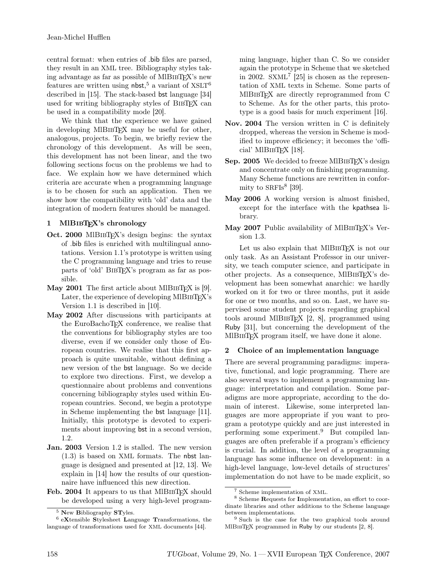central format: when entries of .bib files are parsed, they result in an XML tree. Bibliography styles taking advantage as far as possible of MlBibTEX's new features are written using  $nbst$ <sup>5</sup>, a variant of  $XSLT^6$ described in [15]. The stack-based bst language [34] used for writing bibliography styles of BIBT<sub>EX</sub> can be used in a compatibility mode [20].

We think that the experience we have gained in developing MIBIBTEX may be useful for other, analogous, projects. To begin, we briefly review the chronology of this development. As will be seen, this development has not been linear, and the two following sections focus on the problems we had to face. We explain how we have determined which criteria are accurate when a programming language is to be chosen for such an application. Then we show how the compatibility with 'old' data and the integration of modern features should be managed.

# 1 MIBIBT<sub>EX</sub>'s chronology

- Oct. 2000 MlBIBTEX's design begins: the syntax of .bib files is enriched with multilingual annotations. Version 1.1's prototype is written using the C programming language and tries to reuse parts of 'old' BibTEX's program as far as possible.
- May  $2001$  The first article about MIBIBTFX is [9]. Later, the experience of developing MlBIBTEX's Version 1.1 is described in [10].
- May 2002 After discussions with participants at the EuroBachoTEX conference, we realise that the conventions for bibliography styles are too diverse, even if we consider only those of European countries. We realise that this first approach is quite unsuitable, without defining a new version of the bst language. So we decide to explore two directions. First, we develop a questionnaire about problems and conventions concerning bibliography styles used within European countries. Second, we begin a prototype in Scheme implementing the bst language [11]. Initially, this prototype is devoted to experiments about improving bst in a second version, 1.2.
- Jan. 2003 Version 1.2 is stalled. The new version (1.3) is based on XML formats. The nbst language is designed and presented at [12, 13]. We explain in [14] how the results of our questionnaire have influenced this new direction.
- Feb. 2004 It appears to us that MIBIBT<sub>F</sub>X should be developed using a very high-level program-

ming language, higher than C. So we consider again the prototype in Scheme that we sketched in 2002. SXML<sup>7</sup> [25] is chosen as the representation of XML texts in Scheme. Some parts of MlBibTEX are directly reprogrammed from C to Scheme. As for the other parts, this prototype is a good basis for much experiment [16].

- Nov. 2004 The version written in C is definitely dropped, whereas the version in Scheme is modified to improve efficiency; it becomes the 'official' MlBibTEX [18].
- Sep. 2005 We decided to freeze MIBIBTEX's design and concentrate only on finishing programming. Many Scheme functions are rewritten in conformity to SRFIs<sup>8</sup> [39].
- May 2006 A working version is almost finished, except for the interface with the kpathsea library.
- May 2007 Public availability of MIBIBTEX's Version 1.3.

Let us also explain that MIBIBT<sub>EX</sub> is not our only task. As an Assistant Professor in our university, we teach computer science, and participate in other projects. As a consequence, MlBibTEX's development has been somewhat anarchic: we hardly worked on it for two or three months, put it aside for one or two months, and so on. Last, we have supervised some student projects regarding graphical tools around MIBIBTEX  $[2, 8]$ , programmed using Ruby [31], but concerning the development of the MIBIBTFX program itself, we have done it alone.

# 2 Choice of an implementation language

There are several programming paradigms: imperative, functional, and logic programming. There are also several ways to implement a programming language: interpretation and compilation. Some paradigms are more appropriate, according to the domain of interest. Likewise, some interpreted languages are more appropriate if you want to program a prototype quickly and are just interested in performing some experiment.<sup>9</sup> But compiled languages are often preferable if a program's efficiency is crucial. In addition, the level of a programming language has some influence on development: in a high-level language, low-level details of structures' implementation do not have to be made explicit, so

<sup>&</sup>lt;sup>5</sup> New Bibliography STyles.

<sup>6</sup> eXtensible Stylesheet Language Transformations, the language of transformations used for XML documents [44].

<sup>7</sup> Scheme implementation of XML.

<sup>8</sup> Scheme Requests for Implementation, an effort to coordinate libraries and other additions to the Scheme language between implementations.

<sup>&</sup>lt;sup>9</sup> Such is the case for the two graphical tools around MIBIBTEX programmed in Ruby by our students [2, 8].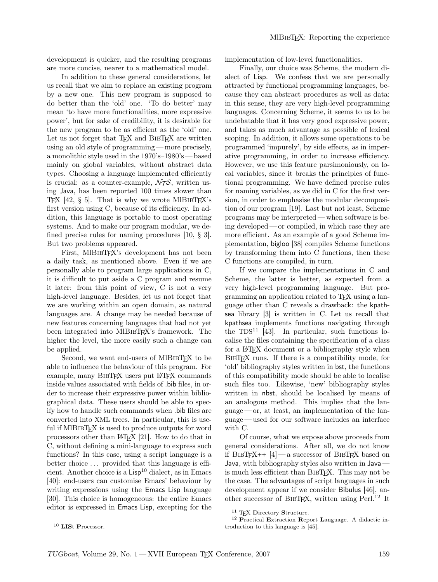development is quicker, and the resulting programs are more concise, nearer to a mathematical model.

In addition to these general considerations, let us recall that we aim to replace an existing program by a new one. This new program is supposed to do better than the 'old' one. 'To do better' may mean 'to have more functionalities, more expressive power', but for sake of credibility, it is desirable for the new program to be as efficient as the 'old' one. Let us not forget that TFX and BIBTFX are written using an old style of programming— more precisely, a monolithic style used in the 1970's–1980's — based mainly on global variables, without abstract data types. Choosing a language implemented efficiently is crucial: as a counter-example,  $\mathcal{N}$ *TS*, written using Java, has been reported 100 times slower than TEX  $[42, § 5]$ . That is why we wrote MIBIBTEX's first version using C, because of its efficiency. In addition, this language is portable to most operating systems. And to make our program modular, we defined precise rules for naming procedures [10, § 3]. But two problems appeared.

First, MIBIBTEX's development has not been a daily task, as mentioned above. Even if we are personally able to program large applications in C, it is difficult to put aside a C program and resume it later: from this point of view, C is not a very high-level language. Besides, let us not forget that we are working within an open domain, as natural languages are. A change may be needed because of new features concerning languages that had not yet been integrated into MIBIBTEX's framework. The higher the level, the more easily such a change can be applied.

Second, we want end-users of MIBIBT<sub>EX</sub> to be able to influence the behaviour of this program. For example, many BIBTEX users put LATEX commands inside values associated with fields of .bib files, in order to increase their expressive power within bibliographical data. These users should be able to specify how to handle such commands when .bib files are converted into XML trees. In particular, this is useful if MIBIBT<sub>EX</sub> is used to produce outputs for word processors other than LATEX [21]. How to do that in C, without defining a mini-language to express such functions? In this case, using a script language is a better choice . . . provided that this language is efficient. Another choice is a  $Lisp^{10}$  dialect, as in Emacs [40]: end-users can customise Emacs' behaviour by writing expressions using the Emacs Lisp language [30]. This choice is homogeneous: the entire Emacs editor is expressed in Emacs Lisp, excepting for the

Finally, our choice was Scheme, the modern dialect of Lisp. We confess that we are personally attracted by functional programming languages, because they can abstract procedures as well as data: in this sense, they are very high-level programming languages. Concerning Scheme, it seems to us to be undebatable that it has very good expressive power, and takes as much advantage as possible of lexical scoping. In addition, it allows some operations to be programmed 'impurely', by side effects, as in imperative programming, in order to increase efficiency. However, we use this feature parsimoniously, on local variables, since it breaks the principles of functional programming. We have defined precise rules for naming variables, as we did in C for the first version, in order to emphasise the modular decomposition of our program [19]. Last but not least, Scheme programs may be interpreted — when software is being developed— or compiled, in which case they are more efficient. As an example of a good Scheme implementation, bigloo [38] compiles Scheme functions by transforming them into C functions, then these C functions are compiled, in turn.

If we compare the implementations in C and Scheme, the latter is better, as expected from a very high-level programming language. But programming an application related to T<sub>EX</sub> using a language other than C reveals a drawback: the kpathsea library [3] is written in C. Let us recall that kpathsea implements functions navigating through the  $TDS<sup>11</sup>$  [43]. In particular, such functions localise the files containing the specification of a class for a LAT<sub>EX</sub> document or a bibliography style when BIBT<sub>EX</sub> runs. If there is a compatibility mode, for 'old' bibliography styles written in bst, the functions of this compatibility mode should be able to localise such files too. Likewise, 'new' bibliography styles written in nbst, should be localised by means of an analogous method. This implies that the lan $gauge \text{---}$  or, at least, an implementation of the language — used for our software includes an interface with C.

Of course, what we expose above proceeds from general considerations. After all, we do not know if BIBTEX<sup>++</sup> [4] — a successor of BIBTEX based on Java, with bibliography styles also written in Java is much less efficient than BibTEX. This may not be the case. The advantages of script languages in such development appear if we consider Bibulus [46], another successor of BIBTEX, written using Perl.<sup>12</sup> It

implementation of low-level functionalities.

<sup>&</sup>lt;sup>11</sup> TEX Directory Structure.

<sup>12</sup> Practical Extraction Report Language. A didactic introduction to this language is [45].

<sup>10</sup> LISt Processor.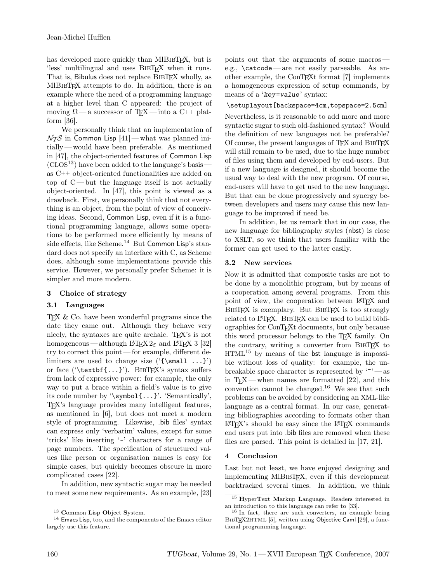has developed more quickly than MIBIBTEX, but is 'less' multilingual and uses BIBTFX when it runs. That is, Bibulus does not replace BIBTEX wholly, as MIBIBTEX attempts to do. In addition, there is an example where the need of a programming language at a higher level than C appeared: the project of moving  $\Omega$  — a successor of T<sub>E</sub>X — into a C<sup>++</sup> platform [36].

We personally think that an implementation of  $\mathcal{N}$ TS in Common Lisp [41] — what was planned initially — would have been preferable. As mentioned in [47], the object-oriented features of Common Lisp  $(CLOS<sup>13</sup>)$  have been added to the language's basis – as C++ object-oriented functionalities are added on top of C— but the language itself is not actually object-oriented. In [47], this point is viewed as a drawback. First, we personally think that not everything is an object, from the point of view of conceiving ideas. Second, Common Lisp, even if it is a functional programming language, allows some operations to be performed more efficiently by means of side effects, like Scheme.<sup>14</sup> But Common Lisp's standard does not specify an interface with C, as Scheme does, although some implementations provide this service. However, we personally prefer Scheme: it is simpler and more modern.

# 3 Choice of strategy

# 3.1 Languages

 $T_{\text{F}}X \&$  Co. have been wonderful programs since the date they came out. Although they behave very nicely, the syntaxes are quite archaic. T<sub>EX</sub>'s is not homogeneous — although LAT<sub>E</sub>X 2<sub> $\varepsilon$ </sub> and LAT<sub>E</sub>X 3 [32] try to correct this point— for example, different delimiters are used to change size  $({\small \texttt{\small \small \{small \ldots\}}})$ or face  $(\text{textbf} \dots)$ . BIBT<sub>EX</sub>'s syntax suffers from lack of expressive power: for example, the only way to put a brace within a field's value is to give its code number by '\symbol{...}'. 'Semantically', TEX's language provides many intelligent features, as mentioned in [6], but does not meet a modern style of programming. Likewise, .bib files' syntax can express only 'verbatim' values, except for some 'tricks' like inserting '-' characters for a range of page numbers. The specification of structured values like person or organisation names is easy for simple cases, but quickly becomes obscure in more complicated cases [22].

In addition, new syntactic sugar may be needed to meet some new requirements. As an example, [23]

points out that the arguments of some macros e.g., \catcode — are not easily parseable. As another example, the ConTEXt format [7] implements a homogeneous expression of setup commands, by means of a 'key=value' syntax:

#### \setuplayout[backspace=4cm,topspace=2.5cm]

Nevertheless, is it reasonable to add more and more syntactic sugar to such old-fashioned syntax? Would the definition of new languages not be preferable? Of course, the present languages of TEX and BibTEX will still remain to be used, due to the huge number of files using them and developed by end-users. But if a new language is designed, it should become the usual way to deal with the new program. Of course, end-users will have to get used to the new language. But that can be done progressively and synergy between developers and users may cause this new language to be improved if need be.

In addition, let us remark that in our case, the new language for bibliography styles (nbst) is close to XSLT, so we think that users familiar with the former can get used to the latter easily.

### 3.2 New services

Now it is admitted that composite tasks are not to be done by a monolithic program, but by means of a cooperation among several programs. From this point of view, the cooperation between L<sup>AT</sup>FX and BIBTEX is exemplary. But BIBTEX is too strongly related to LATEX. BIBTEX can be used to build bibliographies for ConTEXt documents, but only because this word processor belongs to the TEX family. On the contrary, writing a converter from BIBT<sub>EX</sub> to  $HTML<sup>15</sup>$  by means of the bst language is impossible without loss of quality: for example, the unbreakable space character is represented by  $\sim$  -as in T<sub>EX</sub> — when names are formatted  $[22]$ , and this convention cannot be changed.<sup>16</sup> We see that such problems can be avoided by considering an XML-like language as a central format. In our case, generating bibliographies according to formats other than LATEX's should be easy since the LATEX commands end users put into .bib files are removed when these files are parsed. This point is detailed in [17, 21].

#### 4 Conclusion

Last but not least, we have enjoyed designing and implementing MlBibTEX, even if this development backtracked several times. In addition, we think

<sup>13</sup> Common Lisp Object System.

<sup>&</sup>lt;sup>14</sup> Emacs Lisp, too, and the components of the Emacs editor largely use this feature.

<sup>15</sup> HyperText Markup Language. Readers interested in an introduction to this language can refer to [33].

<sup>16</sup> In fact, there are such converters, an example being BIBTEX2HTML [5], written using Objective Caml [29], a functional programming language.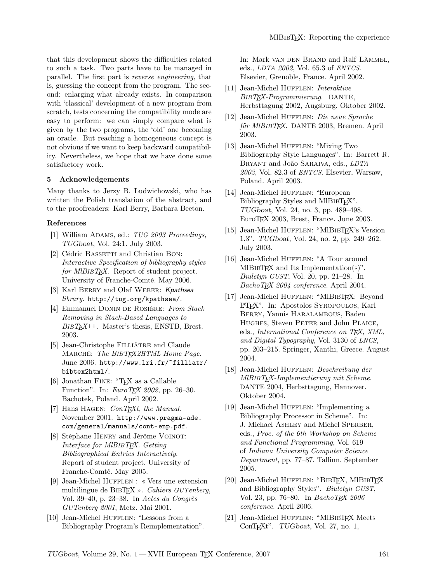that this development shows the difficulties related to such a task. Two parts have to be managed in parallel. The first part is reverse engineering, that is, guessing the concept from the program. The second: enlarging what already exists. In comparison with 'classical' development of a new program from scratch, tests concerning the compatibility mode are easy to perform: we can simply compare what is given by the two programs, the 'old' one becoming an oracle. But reaching a homogeneous concept is not obvious if we want to keep backward compatibility. Nevertheless, we hope that we have done some satisfactory work.

#### 5 Acknowledgements

Many thanks to Jerzy B. Ludwichowski, who has written the Polish translation of the abstract, and to the proofreaders: Karl Berry, Barbara Beeton.

#### References

- [1] William ADAMS, ed.: TUG 2003 Proceedings, TUGboat, Vol. 24:1. July 2003.
- [2] Cédric BASSETTI and Christian Bon: Interactive Specification of bibliography styles  $for \text{ MlB}$ IBT<sub>F</sub>X. Report of student project. University of Franche-Comté. May 2006.
- [3] Karl BERRY and Olaf WEBER: Kpathsea library. http://tug.org/kpathsea/.
- [4] Emmanuel Donin de Rosière: From Stack Removing in Stack-Based Languages to  $BIBT_F X^{++}$ . Master's thesis, ENSTB, Brest. 2003.
- [5] Jean-Christophe FILLIÂTRE and Claude MARCHÉ: The BIBTEX2HTML Home Page. June 2006. http://www.lri.fr/~filliatr/ bibtex2html/.
- [6] Jonathan Fine: "TEX as a Callable Function". In: *EuroTEX 2002*, pp. 26-30. Bachotek, Poland. April 2002.
- [7] Hans HAGEN:  $ConT_FXt$ , the Manual. November 2001. http://www.pragma-ade. com/general/manuals/cont-enp.pdf.
- [8] Stéphane HENRY and Jérôme VOINOT: Interface for MlBIBTEX. Getting Bibliographical Entries Interactively. Report of student project. University of Franche-Comté. May 2005.
- [9] Jean-Michel HUFFLEN : « Vers une extension multilingue de BIBT<sub>EX</sub> ». Cahiers GUTenberg, Vol. 39–40, p. 23–38. In Actes du Congrès GUTenberg 2001, Metz. Mai 2001.
- [10] Jean-Michel HUFFLEN: "Lessons from a Bibliography Program's Reimplementation".

In: Mark van den Brand and Ralf Lämmel, eds., LDTA 2002, Vol. 65.3 of ENTCS. Elsevier, Grenoble, France. April 2002.

- [11] Jean-Michel HUFFLEN: Interaktive BIBTEX-Programmierung. DANTE, Herbsttagung 2002, Augsburg. Oktober 2002.
- [12] Jean-Michel Hufflen: Die neue Sprache für MIBIBTEX. DANTE 2003, Bremen. April 2003.
- [13] Jean-Michel HUFFLEN: "Mixing Two Bibliography Style Languages". In: Barrett R. Bryant and João Saraiva, eds., LDTA 2003, Vol. 82.3 of ENTCS. Elsevier, Warsaw, Poland. April 2003.
- [14] Jean-Michel HUFFLEN: "European Bibliography Styles and MIBIBTEX". TUGboat, Vol. 24, no. 3, pp. 489–498. EuroTEX 2003, Brest, France. June 2003.
- [15] Jean-Michel HUFFLEN: "MlBIBTEX's Version 1.3". TUGboat, Vol. 24, no. 2, pp. 249–262. July 2003.
- [16] Jean-Michel HUFFLEN: "A Tour around  $MIBIBTFX$  and Its Implementation(s)". Biuletyn GUST, Vol. 20, pp. 21–28. In BachoTEX 2004 conference. April 2004.
- [17] Jean-Michel HUFFLEN: "MIBIBTFX: Beyond LATEX". In: Apostolos Syropoulos, Karl Berry, Yannis Haralambous, Baden HUGHES, Steven PETER and John PLAICE, eds., International Conference on TFX, XML, and Digital Typography, Vol. 3130 of LNCS, pp. 203–215. Springer, Xanthi, Greece. August 2004.
- [18] Jean-Michel Hufflen: Beschreibung der MlBIBTEX-Implementierung mit Scheme. DANTE 2004, Herbsttagung, Hannover. Oktober 2004.
- [19] Jean-Michel HUFFLEN: "Implementing a Bibliography Processor in Scheme". In: J. Michael Ashley and Michel Sperber, eds., Proc. of the 6th Workshop on Scheme and Functional Programming, Vol. 619 of Indiana University Computer Science Department, pp. 77–87. Tallinn. September 2005.
- [20] Jean-Michel HUFFLEN: "BIBTEX, MlBIBTEX and Bibliography Styles". Biuletyn GUST, Vol. 23, pp. 76–80. In BachoTEX 2006 conference. April 2006.
- [21] Jean-Michel HUFFLEN: "MIBIBTEX Meets ConT<sub>F</sub>Xt". TUGboat, Vol. 27, no. 1,